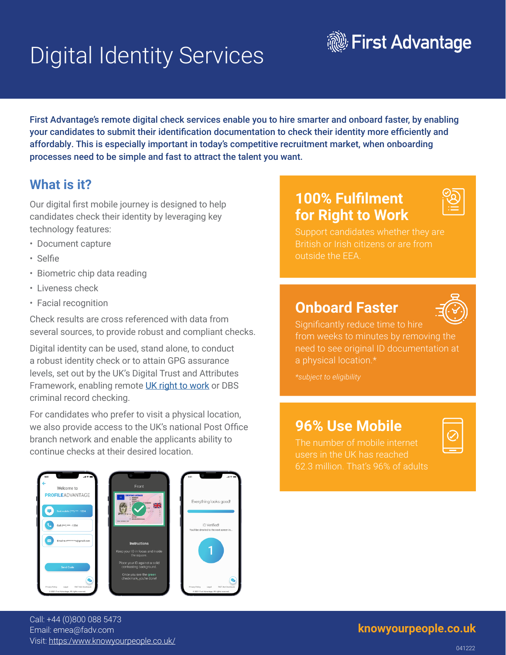# Digital Identity Services



First Advantage's remote digital check services enable you to hire smarter and onboard faster, by enabling your candidates to submit their identification documentation to check their identity more efficiently and affordably. This is especially important in today's competitive recruitment market, when onboarding processes need to be simple and fast to attract the talent you want.

### **What is it?**

Our digital first mobile journey is designed to help candidates check their identity by leveraging key technology features:

- Document capture
- Selfie
- Biometric chip data reading
- Liveness check
- Facial recognition

Check results are cross referenced with data from several sources, to provide robust and compliant checks.

Digital identity can be used, stand alone, to conduct a robust identity check or to attain GPG assurance levels, set out by the UK's Digital Trust and Attributes Framework, enabling remote [UK right to work](https://www.gov.uk/government/publications/the-uk-digital-identity-and-attributes-trust-framework) or DBS criminal record checking.

For candidates who prefer to visit a physical location, we also provide access to the UK's national Post Office branch network and enable the applicants ability to continue checks at their desired location.

# **100% Fulfilment for Right to Work**



Support candidates whether they are British or Irish citizens or are from outside the EEA.

## **Onboard Faster**



Significantly reduce time to hire from weeks to minutes by removing the need to see original ID documentation at a physical location.\*

### **96% Use Mobile**

The number of mobile internet users in the UK has reached 62.3 million. That's 96% of adults

|--|







**<knowyourpeople.co.uk>** Call: +44 (0)800 088 5473 Email: emea@fadv.com Visit:<https:/www.knowyourpeople.co.uk/>